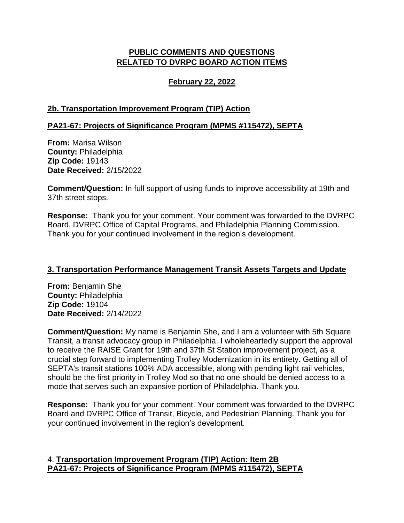# **PUBLIC COMMENTS AND QUESTIONS RELATED TO DVRPC BOARD ACTION ITEMS**

## **February 22, 2022**

### **2b. Transportation Improvement Program (TIP) Action**

### **PA21-67: Projects of Significance Program (MPMS #115472), SEPTA**

**From:** Marisa Wilson **County:** Philadelphia **Zip Code:** 19143 **Date Received:** 2/15/2022

**Comment/Question:** In full support of using funds to improve accessibility at 19th and 37th street stops.

**Response:** Thank you for your comment. Your comment was forwarded to the DVRPC Board, DVRPC Office of Capital Programs, and Philadelphia Planning Commission. Thank you for your continued involvement in the region's development.

#### **3. Transportation Performance Management Transit Assets Targets and Update**

**From:** Benjamin She **County:** Philadelphia **Zip Code:** 19104 **Date Received:** 2/14/2022

**Comment/Question:** My name is Benjamin She, and I am a volunteer with 5th Square Transit, a transit advocacy group in Philadelphia. I wholeheartedly support the approval to receive the RAISE Grant for 19th and 37th St Station improvement project, as a crucial step forward to implementing Trolley Modernization in its entirety. Getting all of SEPTA's transit stations 100% ADA accessible, along with pending light rail vehicles, should be the first priority in Trolley Mod so that no one should be denied access to a mode that serves such an expansive portion of Philadelphia. Thank you.

**Response:** Thank you for your comment. Your comment was forwarded to the DVRPC Board and DVRPC Office of Transit, Bicycle, and Pedestrian Planning. Thank you for your continued involvement in the region's development.

### 4. **Transportation Improvement Program (TIP) Action: Item 2B PA21-67: Projects of Significance Program (MPMS #115472), SEPTA**